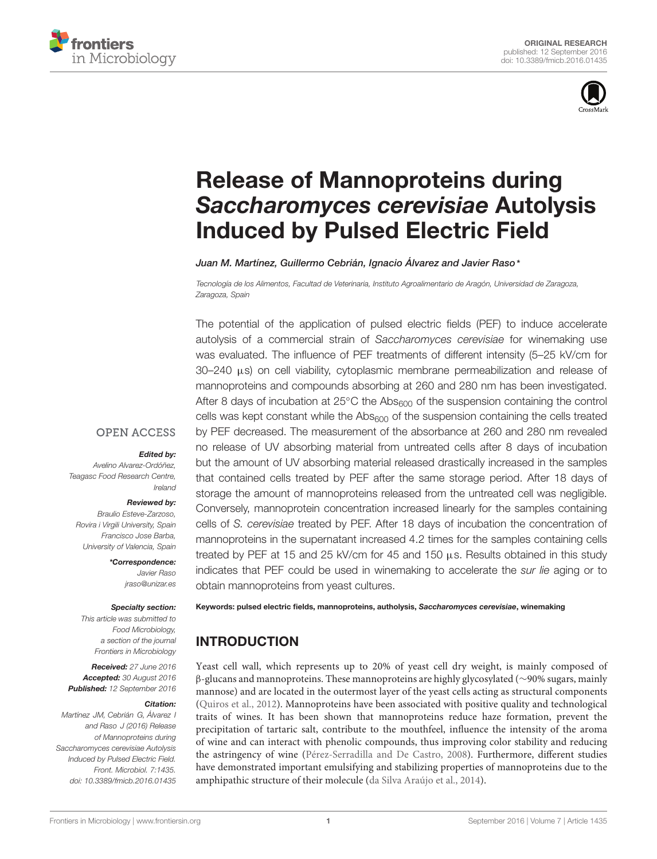



# [Release of Mannoproteins during](http://journal.frontiersin.org/article/10.3389/fmicb.2016.01435/abstract) Saccharomyces cerevisiae Autolysis Induced by Pulsed Electric Field

[Juan M. Martínez,](http://loop.frontiersin.org/people/357955/overview) [Guillermo Cebrián,](http://loop.frontiersin.org/people/326480/overview) [Ignacio Álvarez](http://loop.frontiersin.org/people/174842/overview) and [Javier Raso](http://loop.frontiersin.org/people/158436/overview)\*

Tecnología de los Alimentos, Facultad de Veterinaria, Instituto Agroalimentario de Aragón, Universidad de Zaragoza, Zaragoza, Spain

The potential of the application of pulsed electric fields (PEF) to induce accelerate autolysis of a commercial strain of Saccharomyces cerevisiae for winemaking use was evaluated. The influence of PEF treatments of different intensity (5–25 kV/cm for 30–240  $\mu$ s) on cell viability, cytoplasmic membrane permeabilization and release of mannoproteins and compounds absorbing at 260 and 280 nm has been investigated. After 8 days of incubation at 25 $°C$  the Abs $_{600}$  of the suspension containing the control cells was kept constant while the  $\text{Abs}_{600}$  of the suspension containing the cells treated by PEF decreased. The measurement of the absorbance at 260 and 280 nm revealed no release of UV absorbing material from untreated cells after 8 days of incubation but the amount of UV absorbing material released drastically increased in the samples that contained cells treated by PEF after the same storage period. After 18 days of storage the amount of mannoproteins released from the untreated cell was negligible. Conversely, mannoprotein concentration increased linearly for the samples containing cells of S. cerevisiae treated by PEF. After 18 days of incubation the concentration of mannoproteins in the supernatant increased 4.2 times for the samples containing cells treated by PEF at 15 and 25 kV/cm for 45 and 150  $\mu$ s. Results obtained in this study indicates that PEF could be used in winemaking to accelerate the sur lie aging or to obtain mannoproteins from yeast cultures.

#### **OPEN ACCESS**

#### Edited by:

Avelino Alvarez-Ordóñez, Teagasc Food Research Centre, Ireland

#### Reviewed by:

Braulio Esteve-Zarzoso, Rovira i Virgili University, Spain Francisco Jose Barba, University of Valencia, Spain

> \*Correspondence: Javier Raso jraso@unizar.es

#### Specialty section:

This article was submitted to Food Microbiology, a section of the journal Frontiers in Microbiology

Received: 27 June 2016 Accepted: 30 August 2016 Published: 12 September 2016

#### Citation:

Martínez JM, Cebrián G, Álvarez I and Raso J (2016) Release of Mannoproteins during Saccharomyces cerevisiae Autolysis Induced by Pulsed Electric Field. Front. Microbiol. 7:1435. doi: [10.3389/fmicb.2016.01435](http://dx.doi.org/10.3389/fmicb.2016.01435)

Keywords: pulsed electric fields, mannoproteins, autholysis, Saccharomyces cerevisiae, winemaking

# INTRODUCTION

Yeast cell wall, which represents up to 20% of yeast cell dry weight, is mainly composed of β-glucans and mannoproteins. These mannoproteins are highly glycosylated (∼90% sugars, mainly mannose) and are located in the outermost layer of the yeast cells acting as structural components [\(Quiros et al., 2012\)](#page-7-0). Mannoproteins have been associated with positive quality and technological traits of wines. It has been shown that mannoproteins reduce haze formation, prevent the precipitation of tartaric salt, contribute to the mouthfeel, influence the intensity of the aroma of wine and can interact with phenolic compounds, thus improving color stability and reducing the astringency of wine [\(Pérez-Serradilla and De Castro, 2008\)](#page-7-1). Furthermore, different studies have demonstrated important emulsifying and stabilizing properties of mannoproteins due to the amphipathic structure of their molecule [\(da Silva Araújo et al., 2014\)](#page-6-0).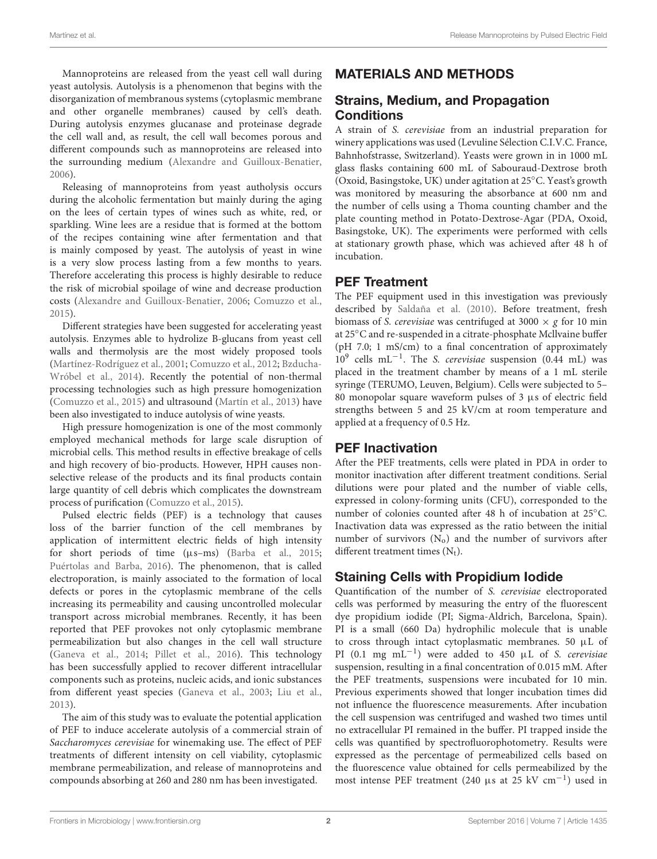Mannoproteins are released from the yeast cell wall during yeast autolysis. Autolysis is a phenomenon that begins with the disorganization of membranous systems (cytoplasmic membrane and other organelle membranes) caused by cell's death. During autolysis enzymes glucanase and proteinase degrade the cell wall and, as result, the cell wall becomes porous and different compounds such as mannoproteins are released into the surrounding medium [\(Alexandre and Guilloux-Benatier,](#page-6-1) [2006\)](#page-6-1).

Releasing of mannoproteins from yeast autholysis occurs during the alcoholic fermentation but mainly during the aging on the lees of certain types of wines such as white, red, or sparkling. Wine lees are a residue that is formed at the bottom of the recipes containing wine after fermentation and that is mainly composed by yeast. The autolysis of yeast in wine is a very slow process lasting from a few months to years. Therefore accelerating this process is highly desirable to reduce the risk of microbial spoilage of wine and decrease production costs [\(Alexandre and Guilloux-Benatier,](#page-6-1) [2006;](#page-6-1) [Comuzzo et al.,](#page-6-2) [2015\)](#page-6-2).

Different strategies have been suggested for accelerating yeast autolysis. Enzymes able to hydrolize B-glucans from yeast cell walls and thermolysis are the most widely proposed tools [\(Martínez-Rodríguez et al.,](#page-7-2) [2001;](#page-7-2) [Comuzzo et al.,](#page-6-3) [2012;](#page-6-3) [Bzducha-](#page-6-4)[Wróbel et al.,](#page-6-4) [2014\)](#page-6-4). Recently the potential of non-thermal processing technologies such as high pressure homogenization [\(Comuzzo et al.,](#page-6-2) [2015\)](#page-6-2) and ultrasound [\(Martín et al.,](#page-7-3) [2013\)](#page-7-3) have been also investigated to induce autolysis of wine yeasts.

High pressure homogenization is one of the most commonly employed mechanical methods for large scale disruption of microbial cells. This method results in effective breakage of cells and high recovery of bio-products. However, HPH causes nonselective release of the products and its final products contain large quantity of cell debris which complicates the downstream process of purification [\(Comuzzo et al.,](#page-6-2) [2015\)](#page-6-2).

Pulsed electric fields (PEF) is a technology that causes loss of the barrier function of the cell membranes by application of intermittent electric fields of high intensity for short periods of time (µs–ms) [\(Barba et al.,](#page-6-5) [2015;](#page-6-5) [Puértolas and Barba,](#page-7-4) [2016\)](#page-7-4). The phenomenon, that is called electroporation, is mainly associated to the formation of local defects or pores in the cytoplasmic membrane of the cells increasing its permeability and causing uncontrolled molecular transport across microbial membranes. Recently, it has been reported that PEF provokes not only cytoplasmic membrane permeabilization but also changes in the cell wall structure [\(Ganeva et al.,](#page-7-5) [2014;](#page-7-5) [Pillet et al.,](#page-7-6) [2016\)](#page-7-6). This technology has been successfully applied to recover different intracellular components such as proteins, nucleic acids, and ionic substances from different yeast species [\(Ganeva et al.,](#page-7-7) [2003;](#page-7-7) [Liu et al.,](#page-7-8) [2013\)](#page-7-8).

The aim of this study was to evaluate the potential application of PEF to induce accelerate autolysis of a commercial strain of Saccharomyces cerevisiae for winemaking use. The effect of PEF treatments of different intensity on cell viability, cytoplasmic membrane permeabilization, and release of mannoproteins and compounds absorbing at 260 and 280 nm has been investigated.

# MATERIALS AND METHODS

## Strains, Medium, and Propagation **Conditions**

A strain of S. cerevisiae from an industrial preparation for winery applications was used (Levuline Sélection C.I.V.C. France, Bahnhofstrasse, Switzerland). Yeasts were grown in in 1000 mL glass flasks containing 600 mL of Sabouraud-Dextrose broth (Oxoid, Basingstoke, UK) under agitation at 25◦C. Yeast's growth was monitored by measuring the absorbance at 600 nm and the number of cells using a Thoma counting chamber and the plate counting method in Potato-Dextrose-Agar (PDA, Oxoid, Basingstoke, UK). The experiments were performed with cells at stationary growth phase, which was achieved after 48 h of incubation.

# PEF Treatment

The PEF equipment used in this investigation was previously described by [Saldaña et al.](#page-7-9) [\(2010\)](#page-7-9). Before treatment, fresh biomass of S. cerevisiae was centrifuged at 3000  $\times$  g for 10 min at 25◦C and re-suspended in a citrate-phosphate Mcllvaine buffer (pH 7.0; 1 mS/cm) to a final concentration of approximately 10<sup>9</sup> cells mL<sup>-1</sup>. The S. cerevisiae suspension (0.44 mL) was placed in the treatment chamber by means of a 1 mL sterile syringe (TERUMO, Leuven, Belgium). Cells were subjected to 5– 80 monopolar square waveform pulses of  $3 \mu s$  of electric field strengths between 5 and 25 kV/cm at room temperature and applied at a frequency of 0.5 Hz.

## PEF Inactivation

After the PEF treatments, cells were plated in PDA in order to monitor inactivation after different treatment conditions. Serial dilutions were pour plated and the number of viable cells, expressed in colony-forming units (CFU), corresponded to the number of colonies counted after 48 h of incubation at 25◦C. Inactivation data was expressed as the ratio between the initial number of survivors  $(N_0)$  and the number of survivors after different treatment times  $(N_t)$ .

# Staining Cells with Propidium Iodide

Quantification of the number of S. cerevisiae electroporated cells was performed by measuring the entry of the fluorescent dye propidium iodide (PI; Sigma-Aldrich, Barcelona, Spain). PI is a small (660 Da) hydrophilic molecule that is unable to cross through intact cytoplasmatic membranes. 50 µL of PI (0.1 mg mL<sup>-1</sup>) were added to 450 μL of S. cerevisiae suspension, resulting in a final concentration of 0.015 mM. After the PEF treatments, suspensions were incubated for 10 min. Previous experiments showed that longer incubation times did not influence the fluorescence measurements. After incubation the cell suspension was centrifuged and washed two times until no extracellular PI remained in the buffer. PI trapped inside the cells was quantified by spectrofluorophotometry. Results were expressed as the percentage of permeabilized cells based on the fluorescence value obtained for cells permeabilized by the most intense PEF treatment (240 µs at 25 kV cm−<sup>1</sup> ) used in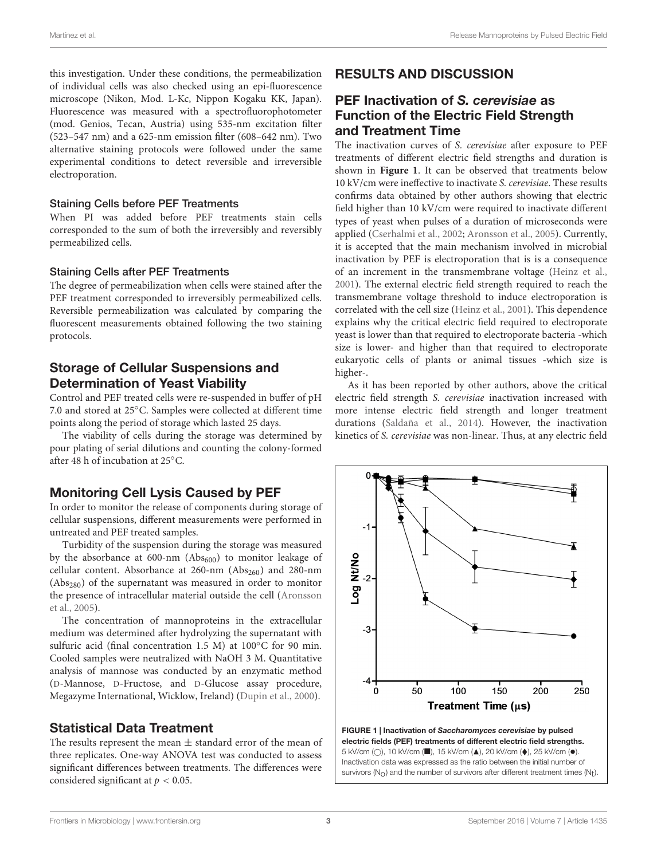this investigation. Under these conditions, the permeabilization of individual cells was also checked using an epi-fluorescence microscope (Nikon, Mod. L-Kc, Nippon Kogaku KK, Japan). Fluorescence was measured with a spectrofluorophotometer (mod. Genios, Tecan, Austria) using 535-nm excitation filter (523–547 nm) and a 625-nm emission filter (608–642 nm). Two alternative staining protocols were followed under the same experimental conditions to detect reversible and irreversible electroporation.

#### Staining Cells before PEF Treatments

When PI was added before PEF treatments stain cells corresponded to the sum of both the irreversibly and reversibly permeabilized cells.

#### Staining Cells after PEF Treatments

The degree of permeabilization when cells were stained after the PEF treatment corresponded to irreversibly permeabilized cells. Reversible permeabilization was calculated by comparing the fluorescent measurements obtained following the two staining protocols.

## Storage of Cellular Suspensions and Determination of Yeast Viability

Control and PEF treated cells were re-suspended in buffer of pH 7.0 and stored at 25◦C. Samples were collected at different time points along the period of storage which lasted 25 days.

The viability of cells during the storage was determined by pour plating of serial dilutions and counting the colony-formed after 48 h of incubation at 25◦C.

## Monitoring Cell Lysis Caused by PEF

In order to monitor the release of components during storage of cellular suspensions, different measurements were performed in untreated and PEF treated samples.

Turbidity of the suspension during the storage was measured by the absorbance at  $600\text{-nm}$  (Ab $s_{600}$ ) to monitor leakage of cellular content. Absorbance at  $260\text{-nm}$  (Abs<sub>260</sub>) and 280-nm (Abs280) of the supernatant was measured in order to monitor the presence of intracellular material outside the cell [\(Aronsson](#page-6-6) [et al.,](#page-6-6) [2005\)](#page-6-6).

The concentration of mannoproteins in the extracellular medium was determined after hydrolyzing the supernatant with sulfuric acid (final concentration 1.5 M) at 100℃ for 90 min. Cooled samples were neutralized with NaOH 3 M. Quantitative analysis of mannose was conducted by an enzymatic method (D-Mannose, D-Fructose, and D-Glucose assay procedure, Megazyme International, Wicklow, Ireland) [\(Dupin et al.,](#page-6-7) [2000\)](#page-6-7).

#### Statistical Data Treatment

The results represent the mean  $\pm$  standard error of the mean of three replicates. One-way ANOVA test was conducted to assess significant differences between treatments. The differences were considered significant at  $p < 0.05$ .

# RESULTS AND DISCUSSION

## PEF Inactivation of S. cerevisiae as Function of the Electric Field Strength and Treatment Time

The inactivation curves of S. cerevisiae after exposure to PEF treatments of different electric field strengths and duration is shown in **[Figure 1](#page-2-0)**. It can be observed that treatments below 10 kV/cm were ineffective to inactivate S. cerevisiae. These results confirms data obtained by other authors showing that electric field higher than 10 kV/cm were required to inactivate different types of yeast when pulses of a duration of microseconds were applied [\(Cserhalmi et al.,](#page-6-8) [2002;](#page-6-8) [Aronsson et al.,](#page-6-6) [2005\)](#page-6-6). Currently, it is accepted that the main mechanism involved in microbial inactivation by PEF is electroporation that is is a consequence of an increment in the transmembrane voltage [\(Heinz et al.,](#page-7-10) [2001\)](#page-7-10). The external electric field strength required to reach the transmembrane voltage threshold to induce electroporation is correlated with the cell size [\(Heinz et al.,](#page-7-10) [2001\)](#page-7-10). This dependence explains why the critical electric field required to electroporate yeast is lower than that required to electroporate bacteria -which size is lower- and higher than that required to electroporate eukaryotic cells of plants or animal tissues -which size is higher-.

As it has been reported by other authors, above the critical electric field strength S. cerevisiae inactivation increased with more intense electric field strength and longer treatment durations [\(Saldaña et al.,](#page-7-11) [2014\)](#page-7-11). However, the inactivation kinetics of S. cerevisiae was non-linear. Thus, at any electric field



<span id="page-2-0"></span>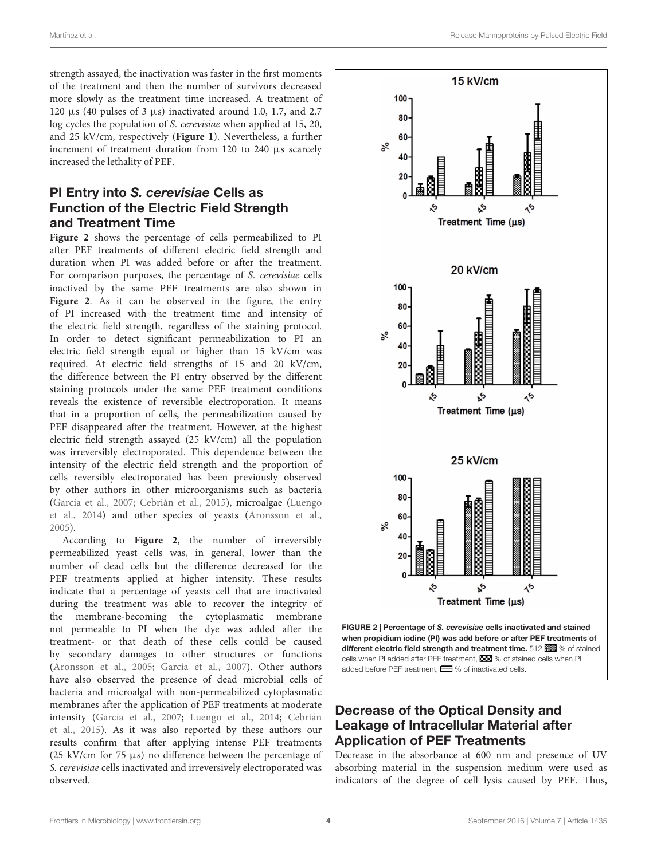strength assayed, the inactivation was faster in the first moments of the treatment and then the number of survivors decreased more slowly as the treatment time increased. A treatment of 120  $\mu$ s (40 pulses of 3  $\mu$ s) inactivated around 1.0, 1.7, and 2.7 log cycles the population of S. cerevisiae when applied at 15, 20, and 25 kV/cm, respectively (**[Figure 1](#page-2-0)**). Nevertheless, a further increment of treatment duration from 120 to 240 µs scarcely increased the lethality of PEF.

## PI Entry into S. cerevisiae Cells as Function of the Electric Field Strength and Treatment Time

**[Figure 2](#page-3-0)** shows the percentage of cells permeabilized to PI after PEF treatments of different electric field strength and duration when PI was added before or after the treatment. For comparison purposes, the percentage of S. cerevisiae cells inactived by the same PEF treatments are also shown in [Figure 2](#page-3-0). As it can be observed in the figure, the entry of PI increased with the treatment time and intensity of the electric field strength, regardless of the staining protocol. In order to detect significant permeabilization to PI an electric field strength equal or higher than 15 kV/cm was required. At electric field strengths of 15 and 20 kV/cm, the difference between the PI entry observed by the different staining protocols under the same PEF treatment conditions reveals the existence of reversible electroporation. It means that in a proportion of cells, the permeabilization caused by PEF disappeared after the treatment. However, at the highest electric field strength assayed (25 kV/cm) all the population was irreversibly electroporated. This dependence between the intensity of the electric field strength and the proportion of cells reversibly electroporated has been previously observed by other authors in other microorganisms such as bacteria [\(García et al.,](#page-7-12) [2007;](#page-7-12) [Cebrián et al.,](#page-6-9) [2015\)](#page-6-9), microalgae [\(Luengo](#page-7-13) [et al.,](#page-7-13) [2014\)](#page-7-13) and other species of yeasts [\(Aronsson et al.,](#page-6-6) [2005\)](#page-6-6).

According to **[Figure 2](#page-3-0)**, the number of irreversibly permeabilized yeast cells was, in general, lower than the number of dead cells but the difference decreased for the PEF treatments applied at higher intensity. These results indicate that a percentage of yeasts cell that are inactivated during the treatment was able to recover the integrity of the membrane-becoming the cytoplasmatic membrane not permeable to PI when the dye was added after the treatment- or that death of these cells could be caused by secondary damages to other structures or functions [\(Aronsson et al.,](#page-6-6) [2005;](#page-6-6) [García et al.,](#page-7-12) [2007\)](#page-7-12). Other authors have also observed the presence of dead microbial cells of bacteria and microalgal with non-permeabilized cytoplasmatic membranes after the application of PEF treatments at moderate intensity [\(García et al.,](#page-7-12) [2007;](#page-7-12) [Luengo et al.,](#page-7-13) [2014;](#page-7-13) [Cebrián](#page-6-9) [et al.,](#page-6-9) [2015\)](#page-6-9). As it was also reported by these authors our results confirm that after applying intense PEF treatments (25 kV/cm for 75  $\mu$ s) no difference between the percentage of S. cerevisiae cells inactivated and irreversively electroporated was observed.



# <span id="page-3-0"></span>Decrease of the Optical Density and Leakage of Intracellular Material after Application of PEF Treatments

Decrease in the absorbance at 600 nm and presence of UV absorbing material in the suspension medium were used as indicators of the degree of cell lysis caused by PEF. Thus,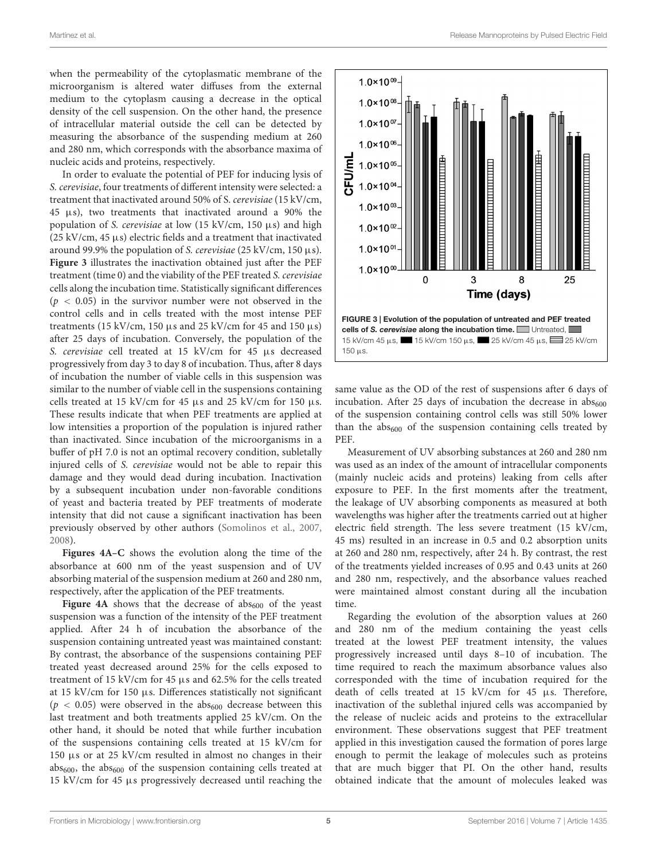when the permeability of the cytoplasmatic membrane of the microorganism is altered water diffuses from the external medium to the cytoplasm causing a decrease in the optical density of the cell suspension. On the other hand, the presence of intracellular material outside the cell can be detected by measuring the absorbance of the suspending medium at 260 and 280 nm, which corresponds with the absorbance maxima of nucleic acids and proteins, respectively.

In order to evaluate the potential of PEF for inducing lysis of S. cerevisiae, four treatments of different intensity were selected: a treatment that inactivated around 50% of S. cerevisiae (15 kV/cm, 45 µs), two treatments that inactivated around a 90% the population of S. cerevisiae at low (15 kV/cm, 150 µs) and high (25 kV/cm, 45 µs) electric fields and a treatment that inactivated around 99.9% the population of S. cerevisiae (25 kV/cm, 150  $\mu$ s). **[Figure 3](#page-4-0)** illustrates the inactivation obtained just after the PEF treatment (time 0) and the viability of the PEF treated S. cerevisiae cells along the incubation time. Statistically significant differences  $(p < 0.05)$  in the survivor number were not observed in the control cells and in cells treated with the most intense PEF treatments (15 kV/cm, 150  $\mu$ s and 25 kV/cm for 45 and 150  $\mu$ s) after 25 days of incubation. Conversely, the population of the S. cerevisiae cell treated at 15 kV/cm for 45 µs decreased progressively from day 3 to day 8 of incubation. Thus, after 8 days of incubation the number of viable cells in this suspension was similar to the number of viable cell in the suspensions containing cells treated at 15 kV/cm for 45 µs and 25 kV/cm for 150 µs. These results indicate that when PEF treatments are applied at low intensities a proportion of the population is injured rather than inactivated. Since incubation of the microorganisms in a buffer of pH 7.0 is not an optimal recovery condition, subletally injured cells of S. cerevisiae would not be able to repair this damage and they would dead during incubation. Inactivation by a subsequent incubation under non-favorable conditions of yeast and bacteria treated by PEF treatments of moderate intensity that did not cause a significant inactivation has been previously observed by other authors [\(Somolinos et al.,](#page-7-14) [2007,](#page-7-14) [2008\)](#page-7-15).

**[Figures 4A–C](#page-5-0)** shows the evolution along the time of the absorbance at 600 nm of the yeast suspension and of UV absorbing material of the suspension medium at 260 and 280 nm, respectively, after the application of the PEF treatments.

**[Figure 4A](#page-5-0)** shows that the decrease of  $abs<sub>600</sub>$  of the yeast suspension was a function of the intensity of the PEF treatment applied. After 24 h of incubation the absorbance of the suspension containing untreated yeast was maintained constant: By contrast, the absorbance of the suspensions containing PEF treated yeast decreased around 25% for the cells exposed to treatment of 15 kV/cm for 45 µs and 62.5% for the cells treated at 15 kV/cm for 150 µs. Differences statistically not significant ( $p < 0.05$ ) were observed in the abs<sub>600</sub> decrease between this last treatment and both treatments applied 25 kV/cm. On the other hand, it should be noted that while further incubation of the suspensions containing cells treated at 15 kV/cm for 150 µs or at 25 kV/cm resulted in almost no changes in their  $abs_{600}$ , the  $abs_{600}$  of the suspension containing cells treated at 15 kV/cm for 45 µs progressively decreased until reaching the



<span id="page-4-0"></span>same value as the OD of the rest of suspensions after 6 days of incubation. After 25 days of incubation the decrease in  $abs_{600}$ of the suspension containing control cells was still 50% lower than the  $abs_{600}$  of the suspension containing cells treated by PEF.

Measurement of UV absorbing substances at 260 and 280 nm was used as an index of the amount of intracellular components (mainly nucleic acids and proteins) leaking from cells after exposure to PEF. In the first moments after the treatment, the leakage of UV absorbing components as measured at both wavelengths was higher after the treatments carried out at higher electric field strength. The less severe treatment (15 kV/cm, 45 ms) resulted in an increase in 0.5 and 0.2 absorption units at 260 and 280 nm, respectively, after 24 h. By contrast, the rest of the treatments yielded increases of 0.95 and 0.43 units at 260 and 280 nm, respectively, and the absorbance values reached were maintained almost constant during all the incubation time.

Regarding the evolution of the absorption values at 260 and 280 nm of the medium containing the yeast cells treated at the lowest PEF treatment intensity, the values progressively increased until days 8–10 of incubation. The time required to reach the maximum absorbance values also corresponded with the time of incubation required for the death of cells treated at 15 kV/cm for 45 µs. Therefore, inactivation of the sublethal injured cells was accompanied by the release of nucleic acids and proteins to the extracellular environment. These observations suggest that PEF treatment applied in this investigation caused the formation of pores large enough to permit the leakage of molecules such as proteins that are much bigger that PI. On the other hand, results obtained indicate that the amount of molecules leaked was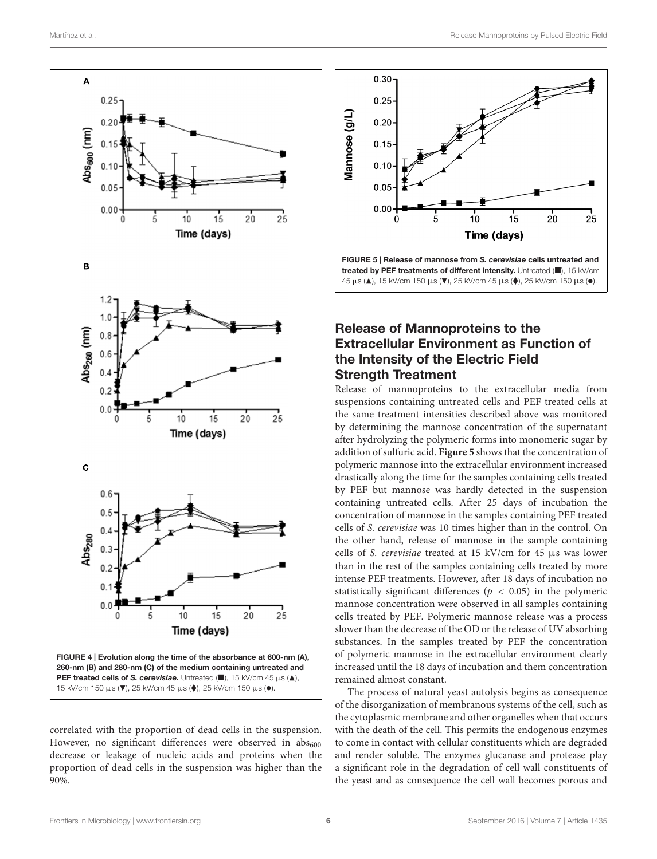

<span id="page-5-0"></span>correlated with the proportion of dead cells in the suspension. However, no significant differences were observed in  $abs<sub>600</sub>$ decrease or leakage of nucleic acids and proteins when the proportion of dead cells in the suspension was higher than the 90%.



## <span id="page-5-1"></span>Release of Mannoproteins to the Extracellular Environment as Function of the Intensity of the Electric Field Strength Treatment

Release of mannoproteins to the extracellular media from suspensions containing untreated cells and PEF treated cells at the same treatment intensities described above was monitored by determining the mannose concentration of the supernatant after hydrolyzing the polymeric forms into monomeric sugar by addition of sulfuric acid. **[Figure 5](#page-5-1)** shows that the concentration of polymeric mannose into the extracellular environment increased drastically along the time for the samples containing cells treated by PEF but mannose was hardly detected in the suspension containing untreated cells. After 25 days of incubation the concentration of mannose in the samples containing PEF treated cells of S. cerevisiae was 10 times higher than in the control. On the other hand, release of mannose in the sample containing cells of S. cerevisiae treated at 15 kV/cm for 45 µs was lower than in the rest of the samples containing cells treated by more intense PEF treatments. However, after 18 days of incubation no statistically significant differences ( $p < 0.05$ ) in the polymeric mannose concentration were observed in all samples containing cells treated by PEF. Polymeric mannose release was a process slower than the decrease of the OD or the release of UV absorbing substances. In the samples treated by PEF the concentration of polymeric mannose in the extracellular environment clearly increased until the 18 days of incubation and them concentration remained almost constant.

The process of natural yeast autolysis begins as consequence of the disorganization of membranous systems of the cell, such as the cytoplasmic membrane and other organelles when that occurs with the death of the cell. This permits the endogenous enzymes to come in contact with cellular constituents which are degraded and render soluble. The enzymes glucanase and protease play a significant role in the degradation of cell wall constituents of the yeast and as consequence the cell wall becomes porous and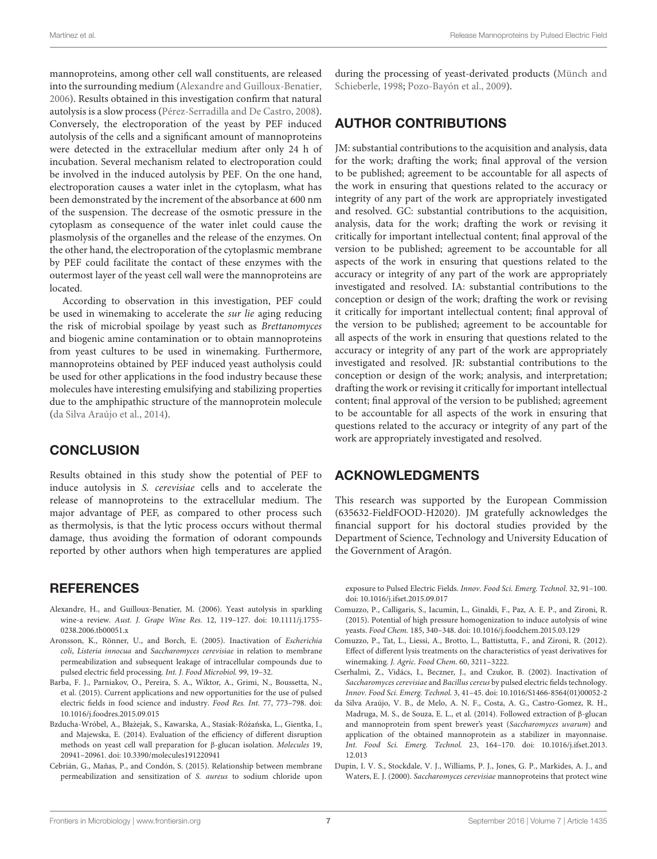mannoproteins, among other cell wall constituents, are released into the surrounding medium [\(Alexandre and Guilloux-Benatier,](#page-6-1) [2006\)](#page-6-1). Results obtained in this investigation confirm that natural autolysis is a slow process [\(Pérez-Serradilla and De Castro,](#page-7-1) [2008\)](#page-7-1). Conversely, the electroporation of the yeast by PEF induced autolysis of the cells and a significant amount of mannoproteins were detected in the extracellular medium after only 24 h of incubation. Several mechanism related to electroporation could be involved in the induced autolysis by PEF. On the one hand, electroporation causes a water inlet in the cytoplasm, what has been demonstrated by the increment of the absorbance at 600 nm of the suspension. The decrease of the osmotic pressure in the cytoplasm as consequence of the water inlet could cause the plasmolysis of the organelles and the release of the enzymes. On the other hand, the electroporation of the cytoplasmic membrane by PEF could facilitate the contact of these enzymes with the outermost layer of the yeast cell wall were the mannoproteins are located.

According to observation in this investigation, PEF could be used in winemaking to accelerate the sur lie aging reducing the risk of microbial spoilage by yeast such as Brettanomyces and biogenic amine contamination or to obtain mannoproteins from yeast cultures to be used in winemaking. Furthermore, mannoproteins obtained by PEF induced yeast autholysis could be used for other applications in the food industry because these molecules have interesting emulsifying and stabilizing properties due to the amphipathic structure of the mannoprotein molecule [\(da Silva Araújo et al.,](#page-6-0) [2014\)](#page-6-0).

#### **CONCLUSION**

Results obtained in this study show the potential of PEF to induce autolysis in S. cerevisiae cells and to accelerate the release of mannoproteins to the extracellular medium. The major advantage of PEF, as compared to other process such as thermolysis, is that the lytic process occurs without thermal damage, thus avoiding the formation of odorant compounds reported by other authors when high temperatures are applied

#### **REFERENCES**

- <span id="page-6-1"></span>Alexandre, H., and Guilloux-Benatier, M. (2006). Yeast autolysis in sparkling wine-a review. Aust. J. Grape Wine Res. 12, 119–127. doi: 10.1111/j.1755- 0238.2006.tb00051.x
- <span id="page-6-6"></span>Aronsson, K., Rönner, U., and Borch, E. (2005). Inactivation of Escherichia coli, Listeria innocua and Saccharomyces cerevisiae in relation to membrane permeabilization and subsequent leakage of intracellular compounds due to pulsed electric field processing. Int. J. Food Microbiol. 99, 19–32.
- <span id="page-6-5"></span>Barba, F. J., Parniakov, O., Pereira, S. A., Wiktor, A., Grimi, N., Boussetta, N., et al. (2015). Current applications and new opportunities for the use of pulsed electric fields in food science and industry. Food Res. Int. 77, 773–798. doi: 10.1016/j.foodres.2015.09.015
- <span id="page-6-4"></span>Bzducha-Wróbel, A., Błażejak, S., Kawarska, A., Stasiak-Różańska, L., Gientka, I., and Majewska, E. (2014). Evaluation of the efficiency of different disruption methods on yeast cell wall preparation for β-glucan isolation. Molecules 19, 20941–20961. doi: 10.3390/molecules191220941
- <span id="page-6-9"></span>Cebrián, G., Mañas, P., and Condón, S. (2015). Relationship between membrane permeabilization and sensitization of S. aureus to sodium chloride upon

during the processing of yeast-derivated products [\(Münch and](#page-7-16) [Schieberle,](#page-7-16) [1998;](#page-7-16) [Pozo-Bayón et al.,](#page-7-17) [2009\)](#page-7-17).

#### AUTHOR CONTRIBUTIONS

JM: substantial contributions to the acquisition and analysis, data for the work; drafting the work; final approval of the version to be published; agreement to be accountable for all aspects of the work in ensuring that questions related to the accuracy or integrity of any part of the work are appropriately investigated and resolved. GC: substantial contributions to the acquisition, analysis, data for the work; drafting the work or revising it critically for important intellectual content; final approval of the version to be published; agreement to be accountable for all aspects of the work in ensuring that questions related to the accuracy or integrity of any part of the work are appropriately investigated and resolved. IA: substantial contributions to the conception or design of the work; drafting the work or revising it critically for important intellectual content; final approval of the version to be published; agreement to be accountable for all aspects of the work in ensuring that questions related to the accuracy or integrity of any part of the work are appropriately investigated and resolved. JR: substantial contributions to the conception or design of the work; analysis, and interpretation; drafting the work or revising it critically for important intellectual content; final approval of the version to be published; agreement to be accountable for all aspects of the work in ensuring that questions related to the accuracy or integrity of any part of the work are appropriately investigated and resolved.

#### ACKNOWLEDGMENTS

This research was supported by the European Commission (635632-FieldFOOD-H2020). JM gratefully acknowledges the financial support for his doctoral studies provided by the Department of Science, Technology and University Education of the Government of Aragón.

exposure to Pulsed Electric Fields. Innov. Food Sci. Emerg. Technol. 32, 91–100. doi: 10.1016/j.ifset.2015.09.017

- <span id="page-6-2"></span>Comuzzo, P., Calligaris, S., Iacumin, L., Ginaldi, F., Paz, A. E. P., and Zironi, R. (2015). Potential of high pressure homogenization to induce autolysis of wine yeasts. Food Chem. 185, 340–348. doi: 10.1016/j.foodchem.2015.03.129
- <span id="page-6-3"></span>Comuzzo, P., Tat, L., Liessi, A., Brotto, L., Battistutta, F., and Zironi, R. (2012). Effect of different lysis treatments on the characteristics of yeast derivatives for winemaking. J. Agric. Food Chem. 60, 3211–3222.
- <span id="page-6-8"></span>Cserhalmi, Z., Vidács, I., Beczner, J., and Czukor, B. (2002). Inactivation of Saccharomyces cerevisiae and Bacillus cereus by pulsed electric fields technology. Innov. Food Sci. Emerg. Technol. 3, 41–45. doi: 10.1016/S1466-8564(01)00052-2
- <span id="page-6-0"></span>da Silva Araújo, V. B., de Melo, A. N. F., Costa, A. G., Castro-Gomez, R. H., Madruga, M. S., de Souza, E. L., et al. (2014). Followed extraction of β-glucan and mannoprotein from spent brewer's yeast (Saccharomyces uvarum) and application of the obtained mannoprotein as a stabilizer in mayonnaise. Int. Food Sci. Emerg. Technol. 23, 164–170. doi: 10.1016/j.ifset.2013. 12.013
- <span id="page-6-7"></span>Dupin, I. V. S., Stockdale, V. J., Williams, P. J., Jones, G. P., Markides, A. J., and Waters, E. J. (2000). Saccharomyces cerevisiae mannoproteins that protect wine